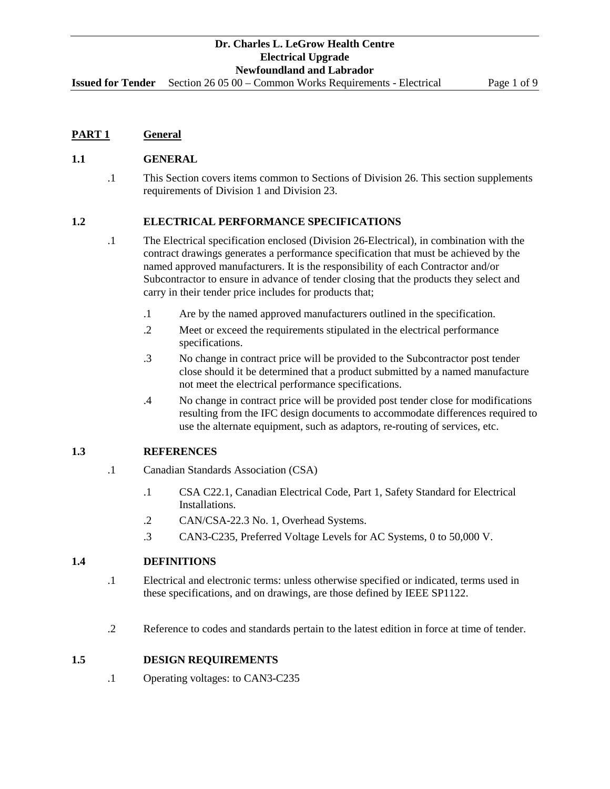**Issued for Tender** Section 26 05 00 – Common Works Requirements - Electrical Page 1 of 9

## **PART 1 General**

## **1.1 GENERAL**

.1 This Section covers items common to Sections of Division 26. This section supplements requirements of Division 1 and Division 23.

## **1.2 ELECTRICAL PERFORMANCE SPECIFICATIONS**

- .1 The Electrical specification enclosed (Division 26-Electrical), in combination with the contract drawings generates a performance specification that must be achieved by the named approved manufacturers. It is the responsibility of each Contractor and/or Subcontractor to ensure in advance of tender closing that the products they select and carry in their tender price includes for products that;
	- .1 Are by the named approved manufacturers outlined in the specification.
	- .2 Meet or exceed the requirements stipulated in the electrical performance specifications.
	- .3 No change in contract price will be provided to the Subcontractor post tender close should it be determined that a product submitted by a named manufacture not meet the electrical performance specifications.
	- .4 No change in contract price will be provided post tender close for modifications resulting from the IFC design documents to accommodate differences required to use the alternate equipment, such as adaptors, re-routing of services, etc.

## **1.3 REFERENCES**

- .1 Canadian Standards Association (CSA)
	- .1 CSA C22.1, Canadian Electrical Code, Part 1, Safety Standard for Electrical Installations.
	- .2 CAN/CSA-22.3 No. 1, Overhead Systems.
	- .3 CAN3-C235, Preferred Voltage Levels for AC Systems, 0 to 50,000 V.

## **1.4 DEFINITIONS**

- .1 Electrical and electronic terms: unless otherwise specified or indicated, terms used in these specifications, and on drawings, are those defined by IEEE SP1122.
- .2 Reference to codes and standards pertain to the latest edition in force at time of tender.

## **1.5 DESIGN REQUIREMENTS**

.1 Operating voltages: to CAN3-C235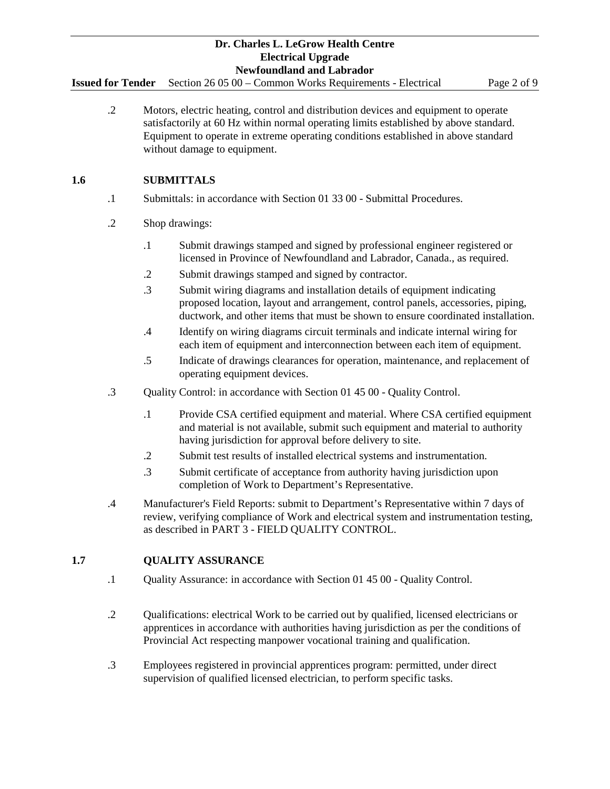**Issued for Tender** Section 26 05 00 – Common Works Requirements - Electrical Page 2 of 9

.2 Motors, electric heating, control and distribution devices and equipment to operate satisfactorily at 60 Hz within normal operating limits established by above standard. Equipment to operate in extreme operating conditions established in above standard without damage to equipment.

# **1.6 SUBMITTALS**

- .1 Submittals: in accordance with Section 01 33 00 Submittal Procedures.
- .2 Shop drawings:
	- .1 Submit drawings stamped and signed by professional engineer registered or licensed in Province of Newfoundland and Labrador, Canada., as required.
	- .2 Submit drawings stamped and signed by contractor.
	- .3 Submit wiring diagrams and installation details of equipment indicating proposed location, layout and arrangement, control panels, accessories, piping, ductwork, and other items that must be shown to ensure coordinated installation.
	- .4 Identify on wiring diagrams circuit terminals and indicate internal wiring for each item of equipment and interconnection between each item of equipment.
	- .5 Indicate of drawings clearances for operation, maintenance, and replacement of operating equipment devices.
- .3 Quality Control: in accordance with Section 01 45 00 Quality Control.
	- .1 Provide CSA certified equipment and material. Where CSA certified equipment and material is not available, submit such equipment and material to authority having jurisdiction for approval before delivery to site.
	- .2 Submit test results of installed electrical systems and instrumentation.
	- .3 Submit certificate of acceptance from authority having jurisdiction upon completion of Work to Department's Representative.
- .4 Manufacturer's Field Reports: submit to Department's Representative within 7 days of review, verifying compliance of Work and electrical system and instrumentation testing, as described in PART 3 - FIELD QUALITY CONTROL.

# **1.7 QUALITY ASSURANCE**

- .1 Quality Assurance: in accordance with Section 01 45 00 Quality Control.
- .2 Qualifications: electrical Work to be carried out by qualified, licensed electricians or apprentices in accordance with authorities having jurisdiction as per the conditions of Provincial Act respecting manpower vocational training and qualification.
- .3 Employees registered in provincial apprentices program: permitted, under direct supervision of qualified licensed electrician, to perform specific tasks.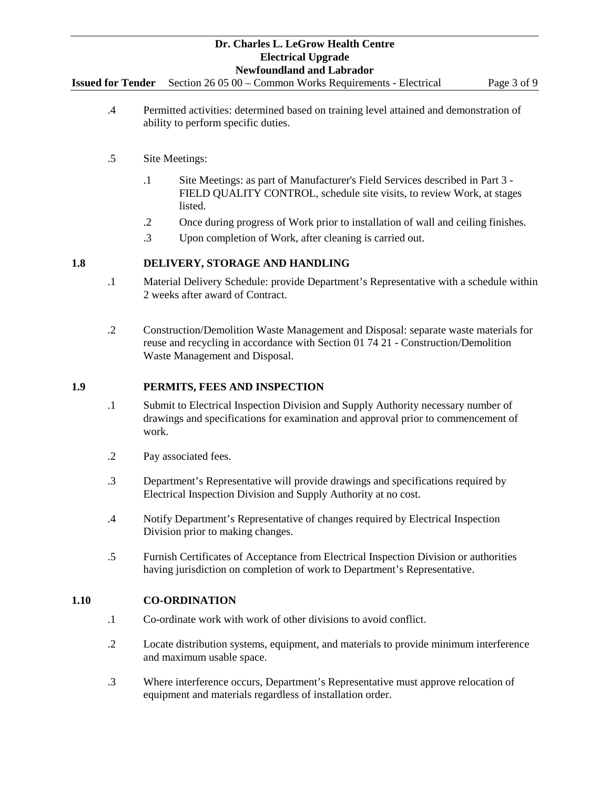**Issued for Tender** Section 26 05 00 – Common Works Requirements - Electrical Page 3 of 9

- .4 Permitted activities: determined based on training level attained and demonstration of ability to perform specific duties.
- .5 Site Meetings:
	- .1 Site Meetings: as part of Manufacturer's Field Services described in Part 3 FIELD QUALITY CONTROL, schedule site visits, to review Work, at stages listed.
	- .2 Once during progress of Work prior to installation of wall and ceiling finishes.
	- .3 Upon completion of Work, after cleaning is carried out.

## **1.8 DELIVERY, STORAGE AND HANDLING**

- .1 Material Delivery Schedule: provide Department's Representative with a schedule within 2 weeks after award of Contract.
- .2 Construction/Demolition Waste Management and Disposal: separate waste materials for reuse and recycling in accordance with Section 01 74 21 - Construction/Demolition Waste Management and Disposal.

## **1.9 PERMITS, FEES AND INSPECTION**

- .1 Submit to Electrical Inspection Division and Supply Authority necessary number of drawings and specifications for examination and approval prior to commencement of work.
- .2 Pay associated fees.
- .3 Department's Representative will provide drawings and specifications required by Electrical Inspection Division and Supply Authority at no cost.
- .4 Notify Department's Representative of changes required by Electrical Inspection Division prior to making changes.
- .5 Furnish Certificates of Acceptance from Electrical Inspection Division or authorities having jurisdiction on completion of work to Department's Representative.

## **1.10 CO-ORDINATION**

- .1 Co-ordinate work with work of other divisions to avoid conflict.
- .2 Locate distribution systems, equipment, and materials to provide minimum interference and maximum usable space.
- .3 Where interference occurs, Department's Representative must approve relocation of equipment and materials regardless of installation order.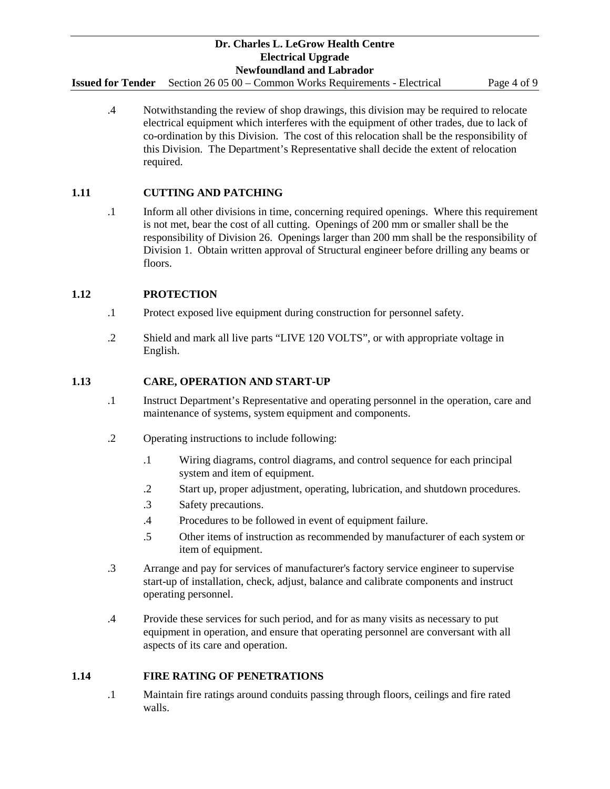**Issued for Tender** Section 26 05 00 – Common Works Requirements - Electrical Page 4 of 9

.4 Notwithstanding the review of shop drawings, this division may be required to relocate electrical equipment which interferes with the equipment of other trades, due to lack of co-ordination by this Division. The cost of this relocation shall be the responsibility of this Division. The Department's Representative shall decide the extent of relocation required.

# **1.11 CUTTING AND PATCHING**

.1 Inform all other divisions in time, concerning required openings. Where this requirement is not met, bear the cost of all cutting. Openings of 200 mm or smaller shall be the responsibility of Division 26. Openings larger than 200 mm shall be the responsibility of Division 1. Obtain written approval of Structural engineer before drilling any beams or floors.

## **1.12 PROTECTION**

- .1 Protect exposed live equipment during construction for personnel safety.
- .2 Shield and mark all live parts "LIVE 120 VOLTS", or with appropriate voltage in English.

## **1.13 CARE, OPERATION AND START-UP**

- .1 Instruct Department's Representative and operating personnel in the operation, care and maintenance of systems, system equipment and components.
- .2 Operating instructions to include following:
	- .1 Wiring diagrams, control diagrams, and control sequence for each principal system and item of equipment.
	- .2 Start up, proper adjustment, operating, lubrication, and shutdown procedures.
	- .3 Safety precautions.
	- .4 Procedures to be followed in event of equipment failure.
	- .5 Other items of instruction as recommended by manufacturer of each system or item of equipment.
- .3 Arrange and pay for services of manufacturer's factory service engineer to supervise start-up of installation, check, adjust, balance and calibrate components and instruct operating personnel.
- .4 Provide these services for such period, and for as many visits as necessary to put equipment in operation, and ensure that operating personnel are conversant with all aspects of its care and operation.

# **1.14 FIRE RATING OF PENETRATIONS**

.1 Maintain fire ratings around conduits passing through floors, ceilings and fire rated walls.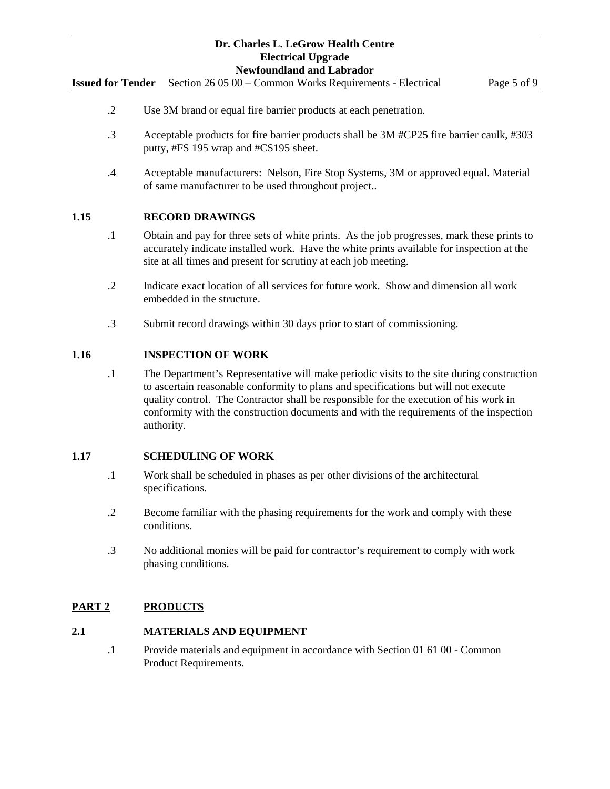**Issued for Tender** Section 26 05 00 – Common Works Requirements - Electrical Page 5 of 9

- .2 Use 3M brand or equal fire barrier products at each penetration.
- .3 Acceptable products for fire barrier products shall be 3M #CP25 fire barrier caulk, #303 putty, #FS 195 wrap and #CS195 sheet.
- .4 Acceptable manufacturers: Nelson, Fire Stop Systems, 3M or approved equal. Material of same manufacturer to be used throughout project..

## **1.15 RECORD DRAWINGS**

- .1 Obtain and pay for three sets of white prints. As the job progresses, mark these prints to accurately indicate installed work. Have the white prints available for inspection at the site at all times and present for scrutiny at each job meeting.
- .2 Indicate exact location of all services for future work. Show and dimension all work embedded in the structure.
- .3 Submit record drawings within 30 days prior to start of commissioning.

#### **1.16 INSPECTION OF WORK**

.1 The Department's Representative will make periodic visits to the site during construction to ascertain reasonable conformity to plans and specifications but will not execute quality control. The Contractor shall be responsible for the execution of his work in conformity with the construction documents and with the requirements of the inspection authority.

#### **1.17 SCHEDULING OF WORK**

- .1 Work shall be scheduled in phases as per other divisions of the architectural specifications.
- .2 Become familiar with the phasing requirements for the work and comply with these conditions.
- .3 No additional monies will be paid for contractor's requirement to comply with work phasing conditions.

## **PART 2 PRODUCTS**

### **2.1 MATERIALS AND EQUIPMENT**

.1 Provide materials and equipment in accordance with Section 01 61 00 - Common Product Requirements.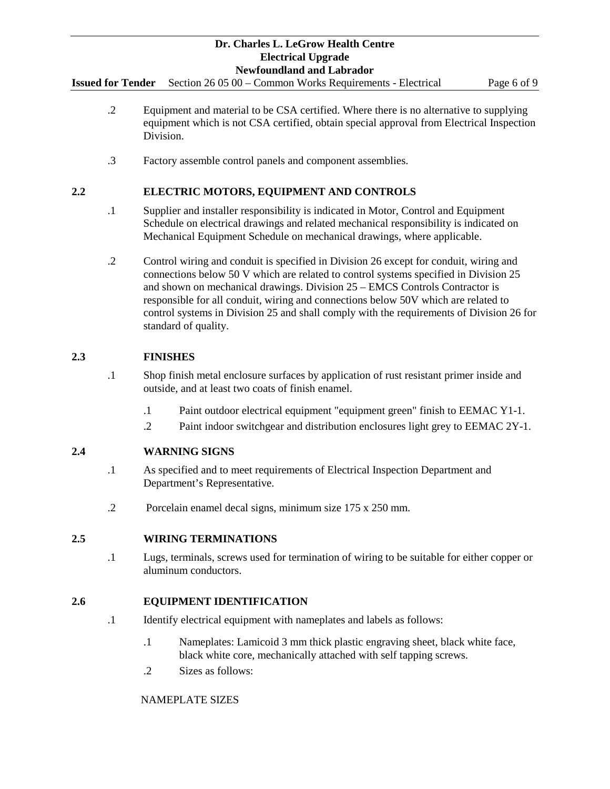**Issued for Tender** Section 26 05 00 – Common Works Requirements - Electrical Page 6 of 9

- .2 Equipment and material to be CSA certified. Where there is no alternative to supplying equipment which is not CSA certified, obtain special approval from Electrical Inspection Division.
- .3 Factory assemble control panels and component assemblies.

# **2.2 ELECTRIC MOTORS, EQUIPMENT AND CONTROLS**

- .1 Supplier and installer responsibility is indicated in Motor, Control and Equipment Schedule on electrical drawings and related mechanical responsibility is indicated on Mechanical Equipment Schedule on mechanical drawings, where applicable.
- .2 Control wiring and conduit is specified in Division 26 except for conduit, wiring and connections below 50 V which are related to control systems specified in Division 25 and shown on mechanical drawings. Division 25 – EMCS Controls Contractor is responsible for all conduit, wiring and connections below 50V which are related to control systems in Division 25 and shall comply with the requirements of Division 26 for standard of quality.

# **2.3 FINISHES**

- .1 Shop finish metal enclosure surfaces by application of rust resistant primer inside and outside, and at least two coats of finish enamel.
	- .1 Paint outdoor electrical equipment "equipment green" finish to EEMAC Y1-1.
	- .2 Paint indoor switchgear and distribution enclosures light grey to EEMAC 2Y-1.

# **2.4 WARNING SIGNS**

- .1 As specified and to meet requirements of Electrical Inspection Department and Department's Representative.
- .2 Porcelain enamel decal signs, minimum size 175 x 250 mm.

# **2.5 WIRING TERMINATIONS**

.1 Lugs, terminals, screws used for termination of wiring to be suitable for either copper or aluminum conductors.

# **2.6 EQUIPMENT IDENTIFICATION**

- .1 Identify electrical equipment with nameplates and labels as follows:
	- .1 Nameplates: Lamicoid 3 mm thick plastic engraving sheet, black white face, black white core, mechanically attached with self tapping screws.
	- .2 Sizes as follows:

## NAMEPLATE SIZES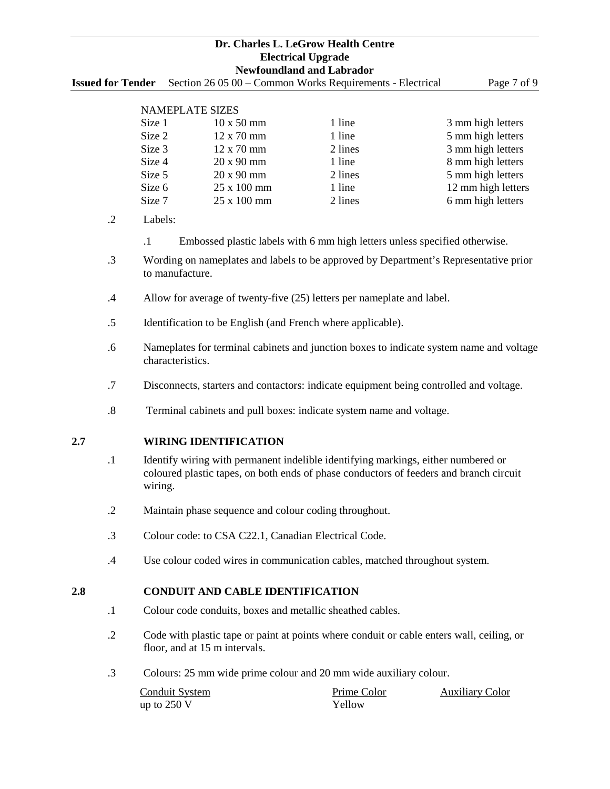**Issued for Tender** Section 26 05 00 – Common Works Requirements - Electrical Page 7 of 9

# NAMEPLATE SIZES

| Size 1 | $10 \times 50$ mm          | 1 line  | 3 mm high letters  |  |  |  |  |
|--------|----------------------------|---------|--------------------|--|--|--|--|
| Size 2 | $12 \times 70$ mm          | 1 line  | 5 mm high letters  |  |  |  |  |
| Size 3 | $12 \times 70$ mm          | 2 lines | 3 mm high letters  |  |  |  |  |
| Size 4 | $20 \times 90$ mm          | 1 line  | 8 mm high letters  |  |  |  |  |
| Size 5 | 20 x 90 mm                 | 2 lines | 5 mm high letters  |  |  |  |  |
| Size 6 | 25 x 100 mm                | 1 line  | 12 mm high letters |  |  |  |  |
| Size 7 | $25 \times 100 \text{ mm}$ | 2 lines | 6 mm high letters  |  |  |  |  |

- .2 Labels:
	- .1 Embossed plastic labels with 6 mm high letters unless specified otherwise.
- .3 Wording on nameplates and labels to be approved by Department's Representative prior to manufacture.
- .4 Allow for average of twenty-five (25) letters per nameplate and label.
- .5 Identification to be English (and French where applicable).
- .6 Nameplates for terminal cabinets and junction boxes to indicate system name and voltage characteristics.
- .7 Disconnects, starters and contactors: indicate equipment being controlled and voltage.
- .8 Terminal cabinets and pull boxes: indicate system name and voltage.

## **2.7 WIRING IDENTIFICATION**

- .1 Identify wiring with permanent indelible identifying markings, either numbered or coloured plastic tapes, on both ends of phase conductors of feeders and branch circuit wiring.
- .2 Maintain phase sequence and colour coding throughout.
- .3 Colour code: to CSA C22.1, Canadian Electrical Code.
- .4 Use colour coded wires in communication cables, matched throughout system.

## **2.8 CONDUIT AND CABLE IDENTIFICATION**

- .1 Colour code conduits, boxes and metallic sheathed cables.
- .2 Code with plastic tape or paint at points where conduit or cable enters wall, ceiling, or floor, and at 15 m intervals.
- .3 Colours: 25 mm wide prime colour and 20 mm wide auxiliary colour.

| Conduit System | Prime Color   | <b>Auxiliary Color</b> |
|----------------|---------------|------------------------|
| up to 250 V    | <b>Yellow</b> |                        |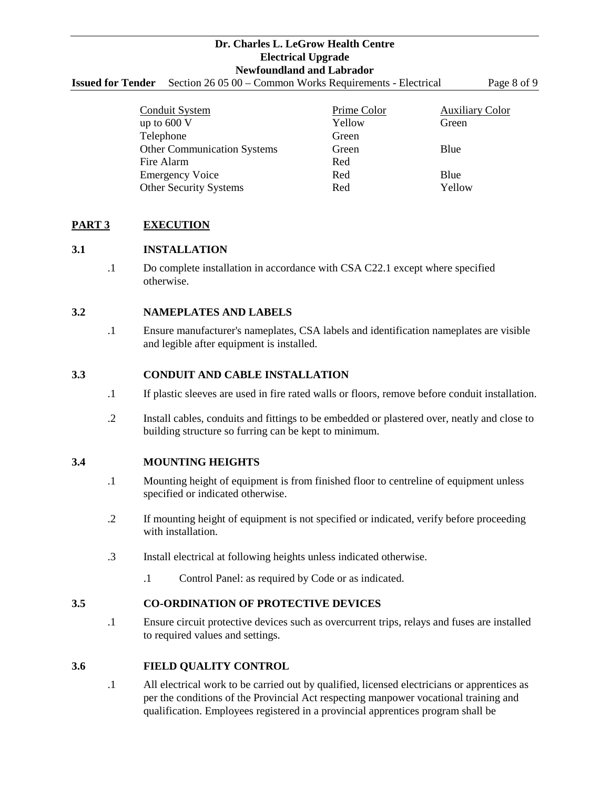**Issued for Tender** Section 26 05 00 – Common Works Requirements - Electrical Page 8 of 9

| <b>Conduit System</b>              | <b>Prime Color</b> | <b>Auxiliary Color</b> |
|------------------------------------|--------------------|------------------------|
| up to $600V$                       | Yellow             | Green                  |
| Telephone                          | Green              |                        |
| <b>Other Communication Systems</b> | Green              | Blue                   |
| Fire Alarm                         | Red                |                        |
| <b>Emergency Voice</b>             | Red                | Blue                   |
| <b>Other Security Systems</b>      | Red                | Yellow                 |

# **PART 3 EXECUTION**

## **3.1 INSTALLATION**

.1 Do complete installation in accordance with CSA C22.1 except where specified otherwise.

# **3.2 NAMEPLATES AND LABELS**

.1 Ensure manufacturer's nameplates, CSA labels and identification nameplates are visible and legible after equipment is installed.

## **3.3 CONDUIT AND CABLE INSTALLATION**

- .1 If plastic sleeves are used in fire rated walls or floors, remove before conduit installation.
- .2 Install cables, conduits and fittings to be embedded or plastered over, neatly and close to building structure so furring can be kept to minimum.

## **3.4 MOUNTING HEIGHTS**

- .1 Mounting height of equipment is from finished floor to centreline of equipment unless specified or indicated otherwise.
- .2 If mounting height of equipment is not specified or indicated, verify before proceeding with installation.
- .3 Install electrical at following heights unless indicated otherwise.
	- .1 Control Panel: as required by Code or as indicated.

## **3.5 CO-ORDINATION OF PROTECTIVE DEVICES**

.1 Ensure circuit protective devices such as overcurrent trips, relays and fuses are installed to required values and settings.

## **3.6 FIELD QUALITY CONTROL**

.1 All electrical work to be carried out by qualified, licensed electricians or apprentices as per the conditions of the Provincial Act respecting manpower vocational training and qualification. Employees registered in a provincial apprentices program shall be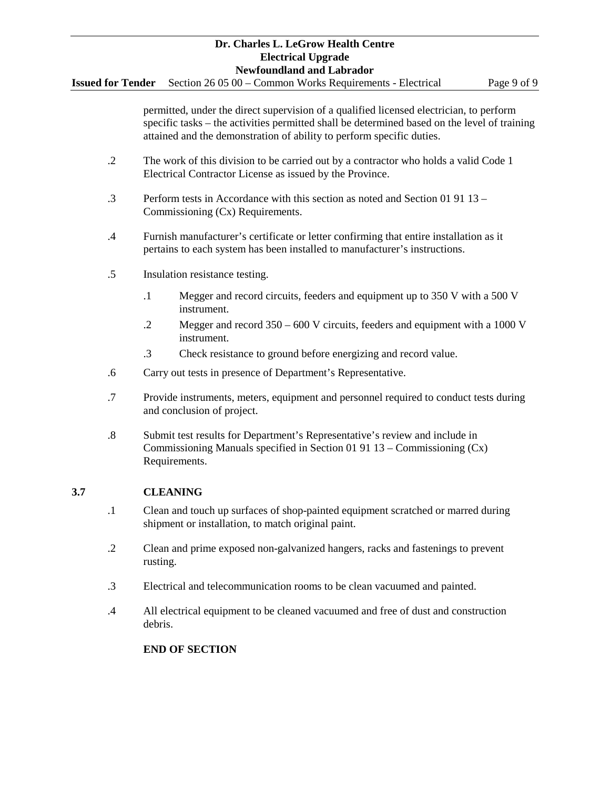**Issued for Tender** Section 26 05 00 – Common Works Requirements - Electrical Page 9 of 9

permitted, under the direct supervision of a qualified licensed electrician, to perform specific tasks – the activities permitted shall be determined based on the level of training attained and the demonstration of ability to perform specific duties.

- .2 The work of this division to be carried out by a contractor who holds a valid Code 1 Electrical Contractor License as issued by the Province.
- .3 Perform tests in Accordance with this section as noted and Section 01 91 13 Commissioning (Cx) Requirements.
- .4 Furnish manufacturer's certificate or letter confirming that entire installation as it pertains to each system has been installed to manufacturer's instructions.
- .5 Insulation resistance testing.
	- .1 Megger and record circuits, feeders and equipment up to 350 V with a 500 V instrument.
	- .2 Megger and record 350 600 V circuits, feeders and equipment with a 1000 V instrument.
	- .3 Check resistance to ground before energizing and record value.
- .6 Carry out tests in presence of Department's Representative.
- .7 Provide instruments, meters, equipment and personnel required to conduct tests during and conclusion of project.
- .8 Submit test results for Department's Representative's review and include in Commissioning Manuals specified in Section 01 91 13 – Commissioning (Cx) Requirements.

# **3.7 CLEANING**

- .1 Clean and touch up surfaces of shop-painted equipment scratched or marred during shipment or installation, to match original paint.
- .2 Clean and prime exposed non-galvanized hangers, racks and fastenings to prevent rusting.
- .3 Electrical and telecommunication rooms to be clean vacuumed and painted.
- .4 All electrical equipment to be cleaned vacuumed and free of dust and construction debris.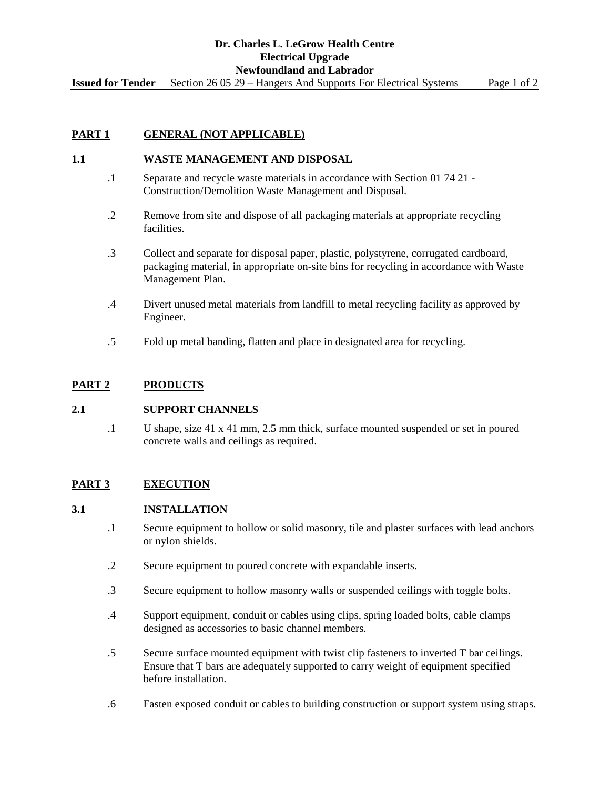**Issued for Tender** Section 26 05 29 – Hangers And Supports For Electrical Systems Page 1 of 2

# **PART 1 GENERAL (NOT APPLICABLE)**

# **1.1 WASTE MANAGEMENT AND DISPOSAL**

- .1 Separate and recycle waste materials in accordance with Section 01 74 21 Construction/Demolition Waste Management and Disposal.
- .2 Remove from site and dispose of all packaging materials at appropriate recycling facilities.
- .3 Collect and separate for disposal paper, plastic, polystyrene, corrugated cardboard, packaging material, in appropriate on-site bins for recycling in accordance with Waste Management Plan.
- .4 Divert unused metal materials from landfill to metal recycling facility as approved by Engineer.
- .5 Fold up metal banding, flatten and place in designated area for recycling.

## **PART 2 PRODUCTS**

## **2.1 SUPPORT CHANNELS**

.1 U shape, size 41 x 41 mm, 2.5 mm thick, surface mounted suspended or set in poured concrete walls and ceilings as required.

# **PART 3 EXECUTION**

## **3.1 INSTALLATION**

- .1 Secure equipment to hollow or solid masonry, tile and plaster surfaces with lead anchors or nylon shields.
- .2 Secure equipment to poured concrete with expandable inserts.
- .3 Secure equipment to hollow masonry walls or suspended ceilings with toggle bolts.
- .4 Support equipment, conduit or cables using clips, spring loaded bolts, cable clamps designed as accessories to basic channel members.
- .5 Secure surface mounted equipment with twist clip fasteners to inverted T bar ceilings. Ensure that T bars are adequately supported to carry weight of equipment specified before installation.
- .6 Fasten exposed conduit or cables to building construction or support system using straps.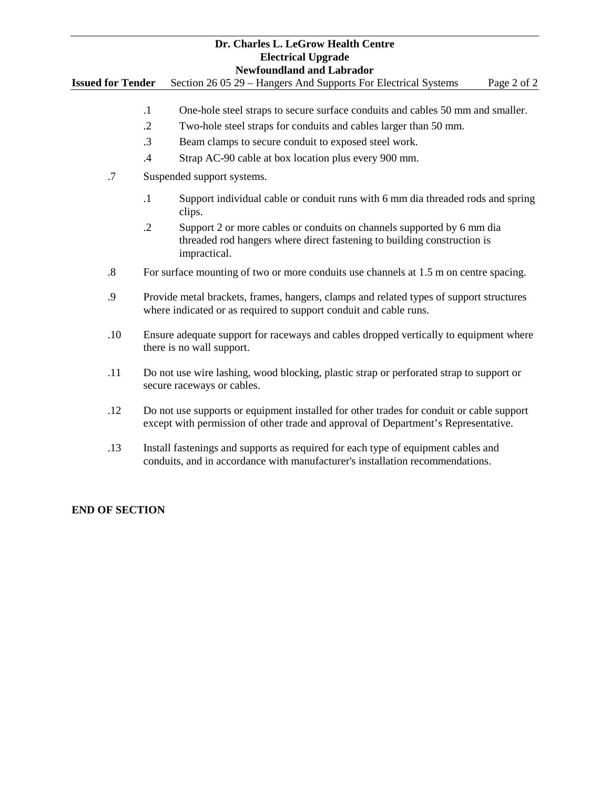**Issued for Tender** Section 26 05 29 – Hangers And Supports For Electrical Systems Page 2 of 2

- .1 One-hole steel straps to secure surface conduits and cables 50 mm and smaller.
- .2 Two-hole steel straps for conduits and cables larger than 50 mm.
- .3 Beam clamps to secure conduit to exposed steel work.
- .4 Strap AC-90 cable at box location plus every 900 mm.
- .7 Suspended support systems.
	- .1 Support individual cable or conduit runs with 6 mm dia threaded rods and spring clips.
	- .2 Support 2 or more cables or conduits on channels supported by 6 mm dia threaded rod hangers where direct fastening to building construction is impractical.
- .8 For surface mounting of two or more conduits use channels at 1.5 m on centre spacing.
- .9 Provide metal brackets, frames, hangers, clamps and related types of support structures where indicated or as required to support conduit and cable runs.
- .10 Ensure adequate support for raceways and cables dropped vertically to equipment where there is no wall support.
- .11 Do not use wire lashing, wood blocking, plastic strap or perforated strap to support or secure raceways or cables.
- .12 Do not use supports or equipment installed for other trades for conduit or cable support except with permission of other trade and approval of Department's Representative.
- .13 Install fastenings and supports as required for each type of equipment cables and conduits, and in accordance with manufacturer's installation recommendations.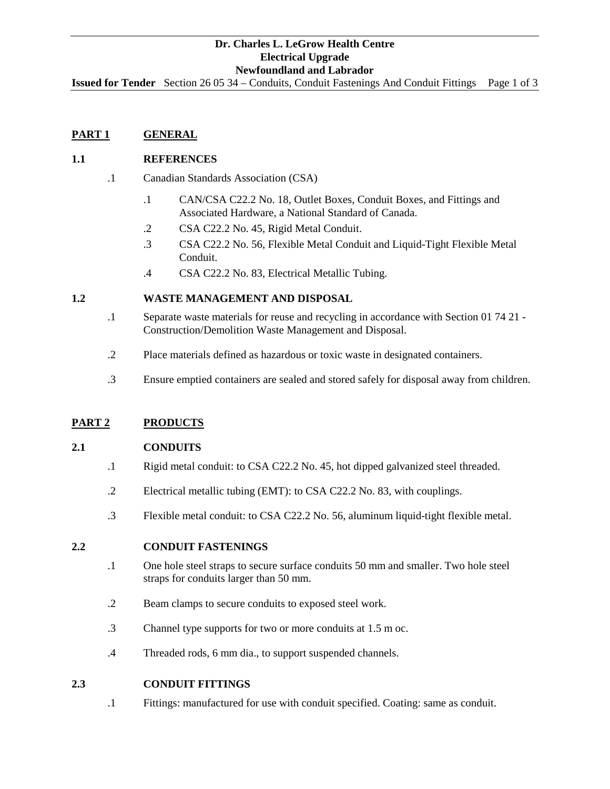**Issued for Tender** Section 26 05 34 – Conduits, Conduit Fastenings And Conduit Fittings Page 1 of 3

# **PART 1 GENERAL**

## **1.1 REFERENCES**

- .1 Canadian Standards Association (CSA)
	- .1 CAN/CSA C22.2 No. 18, Outlet Boxes, Conduit Boxes, and Fittings and Associated Hardware, a National Standard of Canada.
	- .2 CSA C22.2 No. 45, Rigid Metal Conduit.
	- .3 CSA C22.2 No. 56, Flexible Metal Conduit and Liquid-Tight Flexible Metal Conduit.
	- .4 CSA C22.2 No. 83, Electrical Metallic Tubing.

## **1.2 WASTE MANAGEMENT AND DISPOSAL**

- .1 Separate waste materials for reuse and recycling in accordance with Section 01 74 21 Construction/Demolition Waste Management and Disposal.
- .2 Place materials defined as hazardous or toxic waste in designated containers.
- .3 Ensure emptied containers are sealed and stored safely for disposal away from children.

## **PART 2 PRODUCTS**

#### **2.1 CONDUITS**

- .1 Rigid metal conduit: to CSA C22.2 No. 45, hot dipped galvanized steel threaded.
- .2 Electrical metallic tubing (EMT): to CSA C22.2 No. 83, with couplings.
- .3 Flexible metal conduit: to CSA C22.2 No. 56, aluminum liquid-tight flexible metal.

#### **2.2 CONDUIT FASTENINGS**

- .1 One hole steel straps to secure surface conduits 50 mm and smaller. Two hole steel straps for conduits larger than 50 mm.
- .2 Beam clamps to secure conduits to exposed steel work.
- .3 Channel type supports for two or more conduits at 1.5 m oc.
- .4 Threaded rods, 6 mm dia., to support suspended channels.

## **2.3 CONDUIT FITTINGS**

.1 Fittings: manufactured for use with conduit specified. Coating: same as conduit.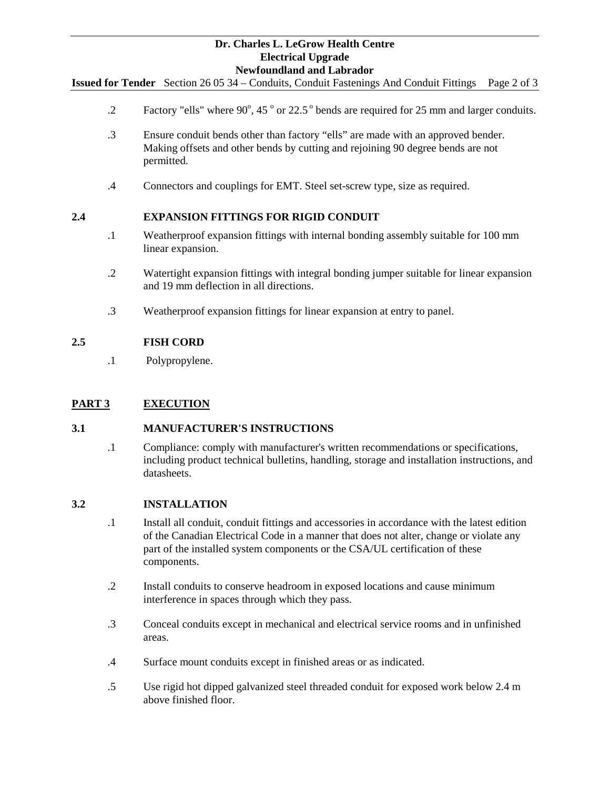**Issued for Tender** Section 26 05 34 – Conduits, Conduit Fastenings And Conduit Fittings Page 2 of 3

- .2 Factory "ells" where  $90^{\circ}$ , 45  $^{\circ}$  or 22.5  $^{\circ}$  bends are required for 25 mm and larger conduits.
- .3 Ensure conduit bends other than factory "ells" are made with an approved bender. Making offsets and other bends by cutting and rejoining 90 degree bends are not permitted.
- .4 Connectors and couplings for EMT. Steel set-screw type, size as required.

# **2.4 EXPANSION FITTINGS FOR RIGID CONDUIT**

- .1 Weatherproof expansion fittings with internal bonding assembly suitable for 100 mm linear expansion.
- .2 Watertight expansion fittings with integral bonding jumper suitable for linear expansion and 19 mm deflection in all directions.
- .3 Weatherproof expansion fittings for linear expansion at entry to panel.

# **2.5 FISH CORD**

.1 Polypropylene.

# **PART 3 EXECUTION**

## **3.1 MANUFACTURER'S INSTRUCTIONS**

.1 Compliance: comply with manufacturer's written recommendations or specifications, including product technical bulletins, handling, storage and installation instructions, and datasheets.

## **3.2 INSTALLATION**

- .1 Install all conduit, conduit fittings and accessories in accordance with the latest edition of the Canadian Electrical Code in a manner that does not alter, change or violate any part of the installed system components or the CSA/UL certification of these components.
- .2 Install conduits to conserve headroom in exposed locations and cause minimum interference in spaces through which they pass.
- .3 Conceal conduits except in mechanical and electrical service rooms and in unfinished areas.
- .4 Surface mount conduits except in finished areas or as indicated.
- .5 Use rigid hot dipped galvanized steel threaded conduit for exposed work below 2.4 m above finished floor.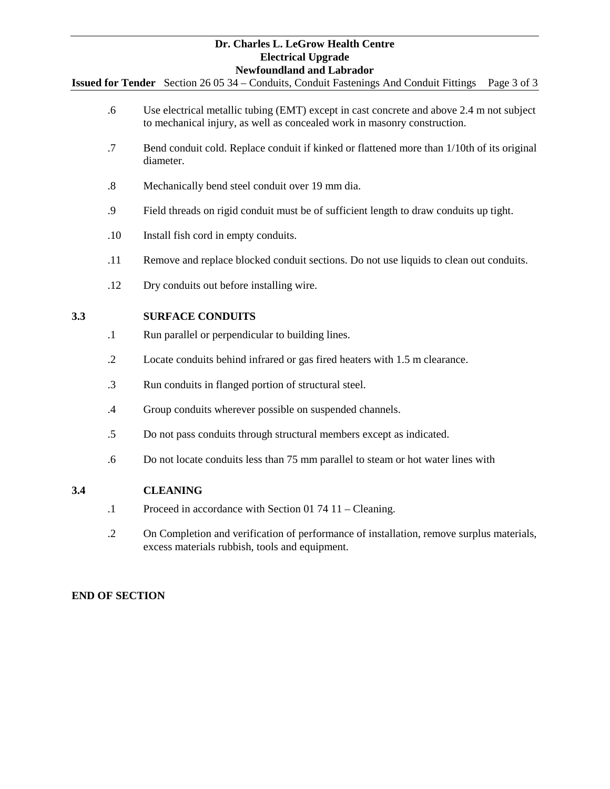**Issued for Tender** Section 26 05 34 – Conduits, Conduit Fastenings And Conduit Fittings Page 3 of 3

- .6 Use electrical metallic tubing (EMT) except in cast concrete and above 2.4 m not subject to mechanical injury, as well as concealed work in masonry construction.
- .7 Bend conduit cold. Replace conduit if kinked or flattened more than 1/10th of its original diameter.
- .8 Mechanically bend steel conduit over 19 mm dia.
- .9 Field threads on rigid conduit must be of sufficient length to draw conduits up tight.
- .10 Install fish cord in empty conduits.
- .11 Remove and replace blocked conduit sections. Do not use liquids to clean out conduits.
- .12 Dry conduits out before installing wire.

## **3.3 SURFACE CONDUITS**

- .1 Run parallel or perpendicular to building lines.
- .2 Locate conduits behind infrared or gas fired heaters with 1.5 m clearance.
- .3 Run conduits in flanged portion of structural steel.
- .4 Group conduits wherever possible on suspended channels.
- .5 Do not pass conduits through structural members except as indicated.
- .6 Do not locate conduits less than 75 mm parallel to steam or hot water lines with

## **3.4 CLEANING**

- .1 Proceed in accordance with Section 01 74 11 Cleaning.
- .2 On Completion and verification of performance of installation, remove surplus materials, excess materials rubbish, tools and equipment.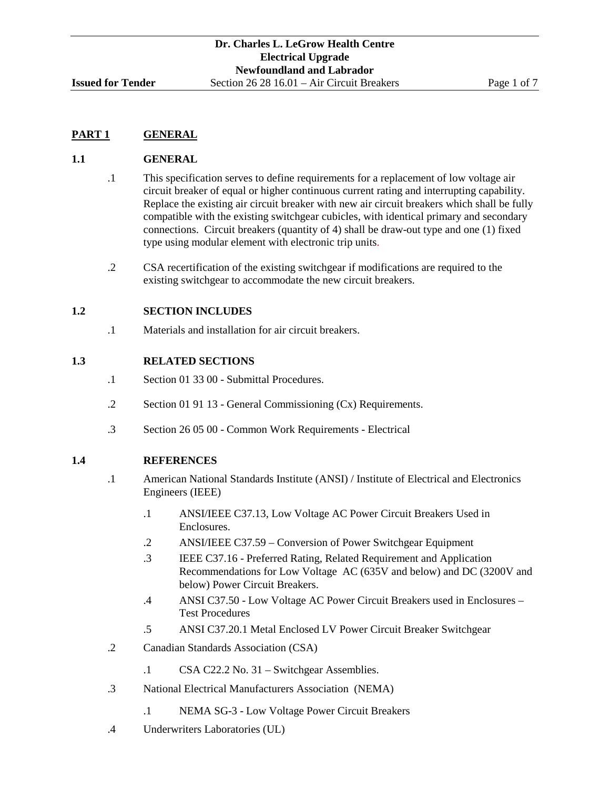# **PART 1 GENERAL**

# **1.1 GENERAL**

- .1 This specification serves to define requirements for a replacement of low voltage air circuit breaker of equal or higher continuous current rating and interrupting capability. Replace the existing air circuit breaker with new air circuit breakers which shall be fully compatible with the existing switchgear cubicles, with identical primary and secondary connections. Circuit breakers (quantity of 4) shall be draw-out type and one (1) fixed type using modular element with electronic trip units.
- .2 CSA recertification of the existing switchgear if modifications are required to the existing switchgear to accommodate the new circuit breakers.

## **1.2 SECTION INCLUDES**

.1 Materials and installation for air circuit breakers.

## **1.3 RELATED SECTIONS**

- .1 Section 01 33 00 Submittal Procedures.
- .2 Section 01 91 13 General Commissioning (Cx) Requirements.
- .3 Section 26 05 00 Common Work Requirements Electrical

# **1.4 REFERENCES**

- .1 American National Standards Institute (ANSI) / Institute of Electrical and Electronics Engineers (IEEE)
	- .1 ANSI/IEEE C37.13, Low Voltage AC Power Circuit Breakers Used in Enclosures.
	- .2 ANSI/IEEE C37.59 Conversion of Power Switchgear Equipment
	- .3 IEEE C37.16 Preferred Rating, Related Requirement and Application Recommendations for Low Voltage AC (635V and below) and DC (3200V and below) Power Circuit Breakers.
	- .4 ANSI C37.50 Low Voltage AC Power Circuit Breakers used in Enclosures Test Procedures
	- .5 ANSI C37.20.1 Metal Enclosed LV Power Circuit Breaker Switchgear
- .2 Canadian Standards Association (CSA)
	- .1 CSA C22.2 No. 31 Switchgear Assemblies.
- .3 National Electrical Manufacturers Association (NEMA)
	- .1 NEMA SG-3 Low Voltage Power Circuit Breakers
- .4 Underwriters Laboratories (UL)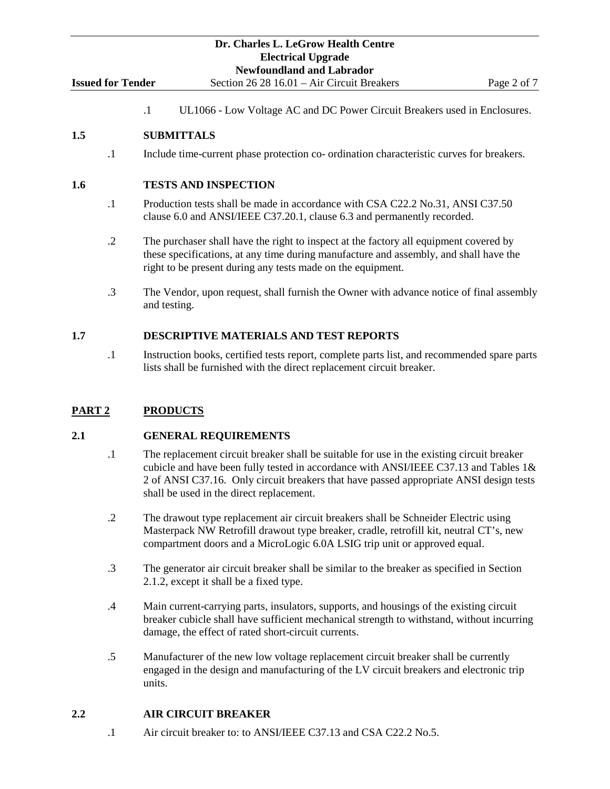.1 UL1066 - Low Voltage AC and DC Power Circuit Breakers used in Enclosures.

# **1.5 SUBMITTALS**

.1 Include time-current phase protection co- ordination characteristic curves for breakers.

# **1.6 TESTS AND INSPECTION**

- .1 Production tests shall be made in accordance with CSA C22.2 No.31, ANSI C37.50 clause 6.0 and ANSI/IEEE C37.20.1, clause 6.3 and permanently recorded.
- .2 The purchaser shall have the right to inspect at the factory all equipment covered by these specifications, at any time during manufacture and assembly, and shall have the right to be present during any tests made on the equipment.
- .3 The Vendor, upon request, shall furnish the Owner with advance notice of final assembly and testing.

# **1.7 DESCRIPTIVE MATERIALS AND TEST REPORTS**

.1 Instruction books, certified tests report, complete parts list, and recommended spare parts lists shall be furnished with the direct replacement circuit breaker.

# **PART 2 PRODUCTS**

# **2.1 GENERAL REQUIREMENTS**

- .1 The replacement circuit breaker shall be suitable for use in the existing circuit breaker cubicle and have been fully tested in accordance with ANSI/IEEE C37.13 and Tables 1& 2 of ANSI C37.16. Only circuit breakers that have passed appropriate ANSI design tests shall be used in the direct replacement.
- .2 The drawout type replacement air circuit breakers shall be Schneider Electric using Masterpack NW Retrofill drawout type breaker, cradle, retrofill kit, neutral CT's, new compartment doors and a MicroLogic 6.0A LSIG trip unit or approved equal.
- .3 The generator air circuit breaker shall be similar to the breaker as specified in Section 2.1.2, except it shall be a fixed type.
- .4 Main current-carrying parts, insulators, supports, and housings of the existing circuit breaker cubicle shall have sufficient mechanical strength to withstand, without incurring damage, the effect of rated short-circuit currents.
- .5 Manufacturer of the new low voltage replacement circuit breaker shall be currently engaged in the design and manufacturing of the LV circuit breakers and electronic trip units.

# **2.2 AIR CIRCUIT BREAKER**

.1 Air circuit breaker to: to ANSI/IEEE C37.13 and CSA C22.2 No.5.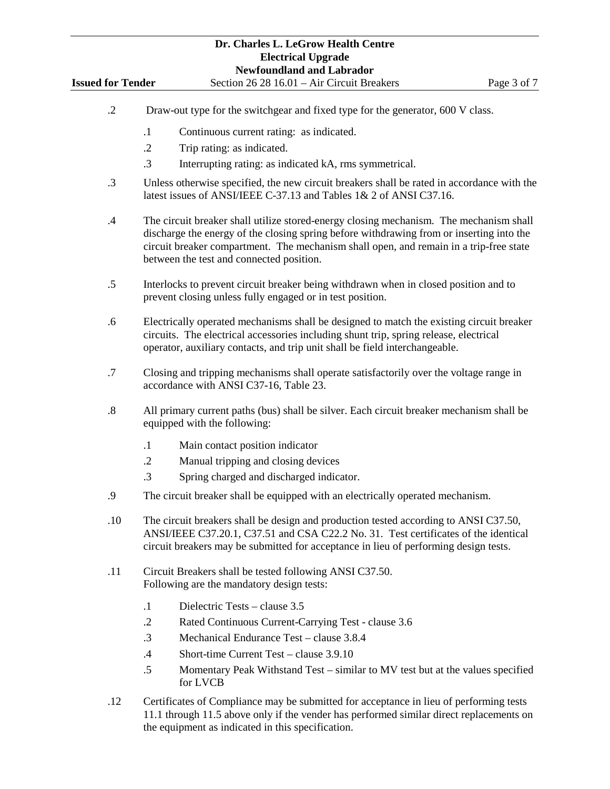|                          |                                                                                                                                                                                                                                                                     | Dr. Charles L. LeGrow Health Centre<br><b>Electrical Upgrade</b>                                                                                                                                                                                                                                                         |             |  |  |  |
|--------------------------|---------------------------------------------------------------------------------------------------------------------------------------------------------------------------------------------------------------------------------------------------------------------|--------------------------------------------------------------------------------------------------------------------------------------------------------------------------------------------------------------------------------------------------------------------------------------------------------------------------|-------------|--|--|--|
|                          |                                                                                                                                                                                                                                                                     | <b>Newfoundland and Labrador</b>                                                                                                                                                                                                                                                                                         |             |  |  |  |
| <b>Issued for Tender</b> |                                                                                                                                                                                                                                                                     | Section 26 28 16.01 - Air Circuit Breakers                                                                                                                                                                                                                                                                               | Page 3 of 7 |  |  |  |
| $\cdot$ .2               |                                                                                                                                                                                                                                                                     | Draw-out type for the switchgear and fixed type for the generator, 600 V class.                                                                                                                                                                                                                                          |             |  |  |  |
|                          | $\cdot$ 1                                                                                                                                                                                                                                                           | Continuous current rating: as indicated.                                                                                                                                                                                                                                                                                 |             |  |  |  |
|                          | $\cdot$ .2                                                                                                                                                                                                                                                          | Trip rating: as indicated.                                                                                                                                                                                                                                                                                               |             |  |  |  |
|                          | $\cdot$ 3                                                                                                                                                                                                                                                           | Interrupting rating: as indicated kA, rms symmetrical.                                                                                                                                                                                                                                                                   |             |  |  |  |
| $\cdot$ 3                |                                                                                                                                                                                                                                                                     | Unless otherwise specified, the new circuit breakers shall be rated in accordance with the<br>latest issues of ANSI/IEEE C-37.13 and Tables 1& 2 of ANSI C37.16.                                                                                                                                                         |             |  |  |  |
| .4                       |                                                                                                                                                                                                                                                                     | The circuit breaker shall utilize stored-energy closing mechanism. The mechanism shall<br>discharge the energy of the closing spring before withdrawing from or inserting into the<br>circuit breaker compartment. The mechanism shall open, and remain in a trip-free state<br>between the test and connected position. |             |  |  |  |
| .5                       | Interlocks to prevent circuit breaker being withdrawn when in closed position and to<br>prevent closing unless fully engaged or in test position.                                                                                                                   |                                                                                                                                                                                                                                                                                                                          |             |  |  |  |
| .6                       |                                                                                                                                                                                                                                                                     | Electrically operated mechanisms shall be designed to match the existing circuit breaker<br>circuits. The electrical accessories including shunt trip, spring release, electrical<br>operator, auxiliary contacts, and trip unit shall be field interchangeable.                                                         |             |  |  |  |
| .7                       |                                                                                                                                                                                                                                                                     | Closing and tripping mechanisms shall operate satisfactorily over the voltage range in<br>accordance with ANSI C37-16, Table 23.                                                                                                                                                                                         |             |  |  |  |
| .8                       |                                                                                                                                                                                                                                                                     | All primary current paths (bus) shall be silver. Each circuit breaker mechanism shall be<br>equipped with the following:                                                                                                                                                                                                 |             |  |  |  |
|                          | $\cdot$                                                                                                                                                                                                                                                             | Main contact position indicator                                                                                                                                                                                                                                                                                          |             |  |  |  |
|                          | $\cdot$ .2                                                                                                                                                                                                                                                          | Manual tripping and closing devices                                                                                                                                                                                                                                                                                      |             |  |  |  |
|                          | .3                                                                                                                                                                                                                                                                  | Spring charged and discharged indicator.                                                                                                                                                                                                                                                                                 |             |  |  |  |
| .9                       |                                                                                                                                                                                                                                                                     | The circuit breaker shall be equipped with an electrically operated mechanism.                                                                                                                                                                                                                                           |             |  |  |  |
| .10                      | The circuit breakers shall be design and production tested according to ANSI C37.50,<br>ANSI/IEEE C37.20.1, C37.51 and CSA C22.2 No. 31. Test certificates of the identical<br>circuit breakers may be submitted for acceptance in lieu of performing design tests. |                                                                                                                                                                                                                                                                                                                          |             |  |  |  |
| .11                      |                                                                                                                                                                                                                                                                     | Circuit Breakers shall be tested following ANSI C37.50.<br>Following are the mandatory design tests:                                                                                                                                                                                                                     |             |  |  |  |
|                          | $\cdot$ 1                                                                                                                                                                                                                                                           | Dielectric Tests – clause 3.5                                                                                                                                                                                                                                                                                            |             |  |  |  |
|                          | $\cdot$ .2                                                                                                                                                                                                                                                          | Rated Continuous Current-Carrying Test - clause 3.6                                                                                                                                                                                                                                                                      |             |  |  |  |
|                          | $\cdot$ 3                                                                                                                                                                                                                                                           | Mechanical Endurance Test - clause 3.8.4                                                                                                                                                                                                                                                                                 |             |  |  |  |
|                          | $.4\,$                                                                                                                                                                                                                                                              | Short-time Current Test - clause 3.9.10                                                                                                                                                                                                                                                                                  |             |  |  |  |
|                          | $.5\,$                                                                                                                                                                                                                                                              | Momentary Peak Withstand Test - similar to MV test but at the values specified<br>for LVCB                                                                                                                                                                                                                               |             |  |  |  |
| .12                      |                                                                                                                                                                                                                                                                     | Certificates of Compliance may be submitted for acceptance in lieu of performing tests<br>11.1 through 11.5 above only if the vender has performed similar direct replacements on                                                                                                                                        |             |  |  |  |

the equipment as indicated in this specification.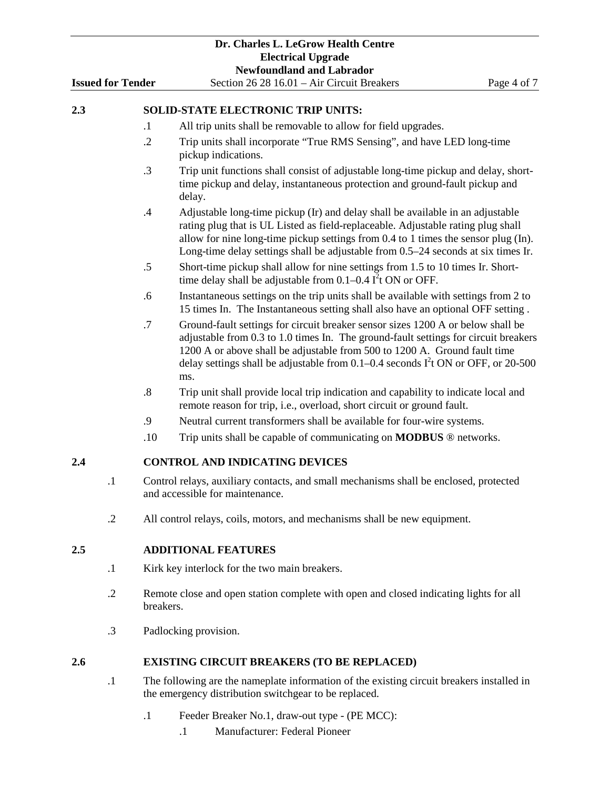|                                      |                          |                                                                                                                                                    | Dr. Charles L. LeGrow Health Centre                                                                                                                                                                                                                                                                                                               |             |  |  |
|--------------------------------------|--------------------------|----------------------------------------------------------------------------------------------------------------------------------------------------|---------------------------------------------------------------------------------------------------------------------------------------------------------------------------------------------------------------------------------------------------------------------------------------------------------------------------------------------------|-------------|--|--|
|                                      |                          |                                                                                                                                                    | <b>Electrical Upgrade</b><br><b>Newfoundland and Labrador</b>                                                                                                                                                                                                                                                                                     |             |  |  |
|                                      | <b>Issued for Tender</b> |                                                                                                                                                    | Section 26 28 16.01 - Air Circuit Breakers                                                                                                                                                                                                                                                                                                        | Page 4 of 7 |  |  |
| 2.3                                  |                          |                                                                                                                                                    | <b>SOLID-STATE ELECTRONIC TRIP UNITS:</b>                                                                                                                                                                                                                                                                                                         |             |  |  |
|                                      |                          | $\cdot$                                                                                                                                            | All trip units shall be removable to allow for field upgrades.                                                                                                                                                                                                                                                                                    |             |  |  |
|                                      |                          | $\cdot$ .2                                                                                                                                         | Trip units shall incorporate "True RMS Sensing", and have LED long-time                                                                                                                                                                                                                                                                           |             |  |  |
|                                      |                          |                                                                                                                                                    | pickup indications.                                                                                                                                                                                                                                                                                                                               |             |  |  |
|                                      |                          | $\cdot$ 3                                                                                                                                          | Trip unit functions shall consist of adjustable long-time pickup and delay, short-<br>time pickup and delay, instantaneous protection and ground-fault pickup and<br>delay.                                                                                                                                                                       |             |  |  |
|                                      |                          | .4                                                                                                                                                 | Adjustable long-time pickup (Ir) and delay shall be available in an adjustable<br>rating plug that is UL Listed as field-replaceable. Adjustable rating plug shall<br>allow for nine long-time pickup settings from 0.4 to 1 times the sensor plug (In).<br>Long-time delay settings shall be adjustable from 0.5–24 seconds at six times Ir.     |             |  |  |
|                                      |                          | .5                                                                                                                                                 | Short-time pickup shall allow for nine settings from 1.5 to 10 times Ir. Short-<br>time delay shall be adjustable from $0.1-0.4$ $I2$ t ON or OFF.                                                                                                                                                                                                |             |  |  |
|                                      |                          | .6                                                                                                                                                 | Instantaneous settings on the trip units shall be available with settings from 2 to<br>15 times In. The Instantaneous setting shall also have an optional OFF setting.                                                                                                                                                                            |             |  |  |
|                                      |                          | .7                                                                                                                                                 | Ground-fault settings for circuit breaker sensor sizes 1200 A or below shall be<br>adjustable from 0.3 to 1.0 times In. The ground-fault settings for circuit breakers<br>1200 A or above shall be adjustable from 500 to 1200 A. Ground fault time<br>delay settings shall be adjustable from 0.1–0.4 seconds $I2$ t ON or OFF, or 20-500<br>ms. |             |  |  |
|                                      |                          | $\boldsymbol{.8}$                                                                                                                                  | Trip unit shall provide local trip indication and capability to indicate local and<br>remote reason for trip, i.e., overload, short circuit or ground fault.                                                                                                                                                                                      |             |  |  |
|                                      |                          | .9                                                                                                                                                 | Neutral current transformers shall be available for four-wire systems.                                                                                                                                                                                                                                                                            |             |  |  |
|                                      |                          | .10                                                                                                                                                | Trip units shall be capable of communicating on <b>MODBUS</b> ® networks.                                                                                                                                                                                                                                                                         |             |  |  |
| 2.4                                  |                          |                                                                                                                                                    | <b>CONTROL AND INDICATING DEVICES</b>                                                                                                                                                                                                                                                                                                             |             |  |  |
| 1<br>and accessible for maintenance. |                          |                                                                                                                                                    | Control relays, auxiliary contacts, and small mechanisms shall be enclosed, protected                                                                                                                                                                                                                                                             |             |  |  |
|                                      | $\cdot$ .2               |                                                                                                                                                    | All control relays, coils, motors, and mechanisms shall be new equipment.                                                                                                                                                                                                                                                                         |             |  |  |
| 2.5                                  |                          |                                                                                                                                                    | <b>ADDITIONAL FEATURES</b>                                                                                                                                                                                                                                                                                                                        |             |  |  |
|                                      | $\cdot$ 1                | Kirk key interlock for the two main breakers.                                                                                                      |                                                                                                                                                                                                                                                                                                                                                   |             |  |  |
|                                      | $\cdot$ .2               | Remote close and open station complete with open and closed indicating lights for all<br>breakers.                                                 |                                                                                                                                                                                                                                                                                                                                                   |             |  |  |
|                                      | $\cdot$ 3                |                                                                                                                                                    | Padlocking provision.                                                                                                                                                                                                                                                                                                                             |             |  |  |
| 2.6                                  |                          |                                                                                                                                                    | <b>EXISTING CIRCUIT BREAKERS (TO BE REPLACED)</b>                                                                                                                                                                                                                                                                                                 |             |  |  |
|                                      | $\cdot$ 1                | The following are the nameplate information of the existing circuit breakers installed in<br>the emergency distribution switchgear to be replaced. |                                                                                                                                                                                                                                                                                                                                                   |             |  |  |

- .1 Feeder Breaker No.1, draw-out type (PE MCC):
	- .1 Manufacturer: Federal Pioneer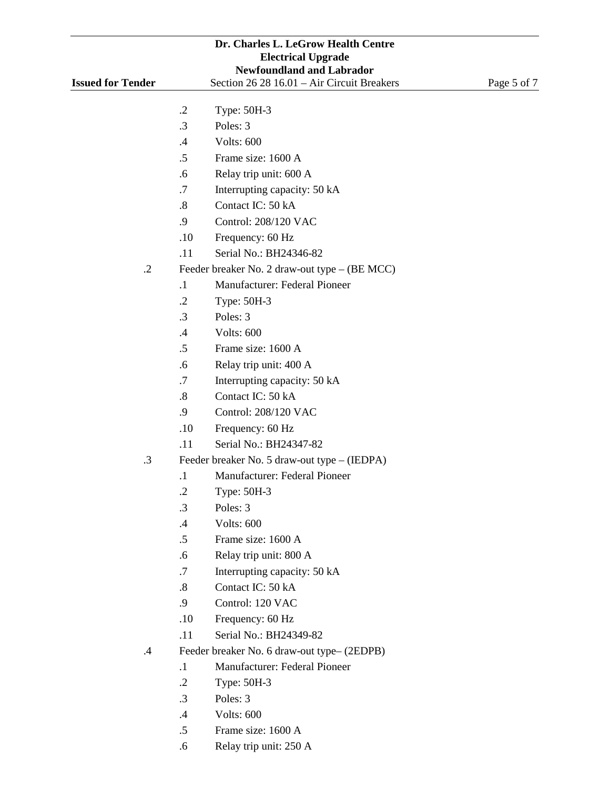|                                                                                                            |                   | Dr. Charles L. LeGrow Health Centre           |             |  |  |
|------------------------------------------------------------------------------------------------------------|-------------------|-----------------------------------------------|-------------|--|--|
|                                                                                                            |                   | <b>Electrical Upgrade</b>                     |             |  |  |
| <b>Newfoundland and Labrador</b><br>Section 26 28 16.01 - Air Circuit Breakers<br><b>Issued for Tender</b> |                   |                                               |             |  |  |
|                                                                                                            |                   |                                               | Page 5 of 7 |  |  |
|                                                                                                            | $\cdot$ .2        | Type: 50H-3                                   |             |  |  |
|                                                                                                            | $\cdot$ 3         | Poles: 3                                      |             |  |  |
|                                                                                                            | .4                | Volts: 600                                    |             |  |  |
|                                                                                                            | $.5\,$            | Frame size: 1600 A                            |             |  |  |
|                                                                                                            | .6                | Relay trip unit: 600 A                        |             |  |  |
|                                                                                                            | .7                | Interrupting capacity: 50 kA                  |             |  |  |
|                                                                                                            | $\boldsymbol{.8}$ | Contact IC: 50 kA                             |             |  |  |
|                                                                                                            | .9                | Control: 208/120 VAC                          |             |  |  |
|                                                                                                            | .10               | Frequency: 60 Hz                              |             |  |  |
|                                                                                                            | .11               | Serial No.: BH24346-82                        |             |  |  |
| $\cdot$ .2                                                                                                 |                   | Feeder breaker No. 2 draw-out type – (BE MCC) |             |  |  |
|                                                                                                            | $\cdot$           | Manufacturer: Federal Pioneer                 |             |  |  |
|                                                                                                            | $\cdot$ .2        | Type: 50H-3                                   |             |  |  |
|                                                                                                            | $\cdot$ 3         | Poles: 3                                      |             |  |  |
|                                                                                                            | .4                | Volts: 600                                    |             |  |  |
|                                                                                                            | $.5\,$            | Frame size: 1600 A                            |             |  |  |
|                                                                                                            | .6                | Relay trip unit: 400 A                        |             |  |  |
|                                                                                                            | .7                | Interrupting capacity: 50 kA                  |             |  |  |
|                                                                                                            | $\boldsymbol{.8}$ | Contact IC: 50 kA                             |             |  |  |
|                                                                                                            | .9                | Control: 208/120 VAC                          |             |  |  |
|                                                                                                            | .10               | Frequency: 60 Hz                              |             |  |  |
|                                                                                                            | .11               | Serial No.: BH24347-82                        |             |  |  |
| $\cdot$ 3                                                                                                  |                   | Feeder breaker No. 5 draw-out type – (IEDPA)  |             |  |  |
|                                                                                                            | $\cdot$           | Manufacturer: Federal Pioneer                 |             |  |  |
|                                                                                                            | $\cdot$ .2        | Type: 50H-3                                   |             |  |  |
|                                                                                                            | $\cdot$ 3         | Poles: 3                                      |             |  |  |
|                                                                                                            | .4                | Volts: 600                                    |             |  |  |
|                                                                                                            | $.5\,$            | Frame size: 1600 A                            |             |  |  |
|                                                                                                            | .6                | Relay trip unit: 800 A                        |             |  |  |
|                                                                                                            | .7                | Interrupting capacity: 50 kA                  |             |  |  |
|                                                                                                            | $\boldsymbol{.8}$ | Contact IC: 50 kA                             |             |  |  |
|                                                                                                            | .9                | Control: 120 VAC                              |             |  |  |
|                                                                                                            | .10               | Frequency: 60 Hz                              |             |  |  |
|                                                                                                            | .11               | Serial No.: BH24349-82                        |             |  |  |
| $\cdot$ 4                                                                                                  |                   | Feeder breaker No. 6 draw-out type-(2EDPB)    |             |  |  |
|                                                                                                            | $\cdot$ 1         | Manufacturer: Federal Pioneer                 |             |  |  |
|                                                                                                            | $\cdot$ .2        | Type: 50H-3                                   |             |  |  |
|                                                                                                            | $\cdot$ 3         | Poles: 3                                      |             |  |  |
|                                                                                                            | $.4\,$            | Volts: 600                                    |             |  |  |

- .5 Frame size: 1600 A
- .6 Relay trip unit: 250 A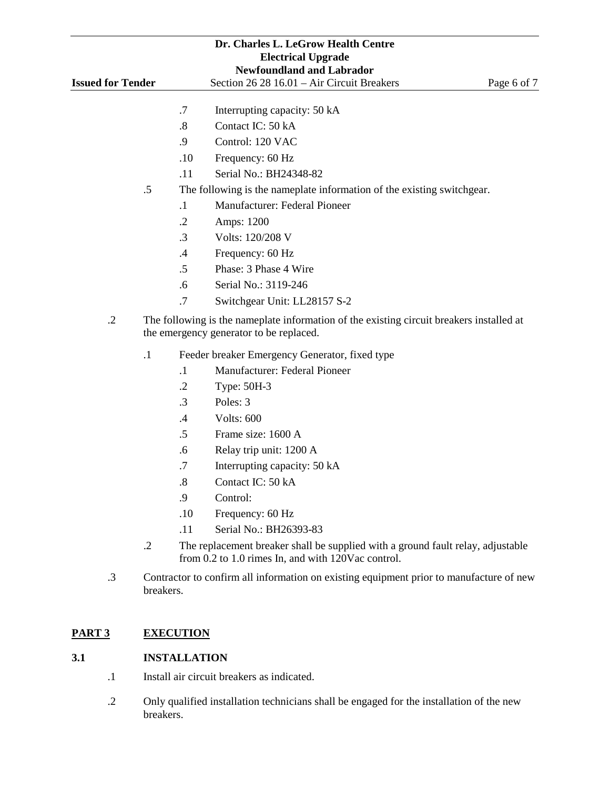| Dr. Charles L. LeGrow Health Centre |                                                                                                        |                                                                                                      |                     |                                                                                                                                       |             |  |
|-------------------------------------|--------------------------------------------------------------------------------------------------------|------------------------------------------------------------------------------------------------------|---------------------|---------------------------------------------------------------------------------------------------------------------------------------|-------------|--|
| <b>Electrical Upgrade</b>           |                                                                                                        |                                                                                                      |                     |                                                                                                                                       |             |  |
|                                     | <b>Newfoundland and Labrador</b><br><b>Issued for Tender</b>                                           |                                                                                                      |                     |                                                                                                                                       |             |  |
|                                     |                                                                                                        |                                                                                                      |                     | Section 26 28 16.01 - Air Circuit Breakers                                                                                            | Page 6 of 7 |  |
|                                     |                                                                                                        |                                                                                                      | .7                  | Interrupting capacity: 50 kA                                                                                                          |             |  |
|                                     |                                                                                                        |                                                                                                      | .8                  | Contact IC: 50 kA                                                                                                                     |             |  |
|                                     |                                                                                                        |                                                                                                      | .9                  | Control: 120 VAC                                                                                                                      |             |  |
|                                     |                                                                                                        |                                                                                                      | .10                 | Frequency: 60 Hz                                                                                                                      |             |  |
|                                     |                                                                                                        |                                                                                                      | .11                 | Serial No.: BH24348-82                                                                                                                |             |  |
|                                     |                                                                                                        | .5                                                                                                   |                     | The following is the nameplate information of the existing switchgear.                                                                |             |  |
|                                     |                                                                                                        |                                                                                                      | $\cdot$ 1           | Manufacturer: Federal Pioneer                                                                                                         |             |  |
|                                     |                                                                                                        |                                                                                                      | $\cdot$ .2          | Amps: 1200                                                                                                                            |             |  |
|                                     |                                                                                                        |                                                                                                      | .3                  | Volts: 120/208 V                                                                                                                      |             |  |
|                                     |                                                                                                        |                                                                                                      | .4                  | Frequency: 60 Hz                                                                                                                      |             |  |
|                                     |                                                                                                        |                                                                                                      | .5                  | Phase: 3 Phase 4 Wire                                                                                                                 |             |  |
|                                     |                                                                                                        |                                                                                                      | .6                  | Serial No.: 3119-246                                                                                                                  |             |  |
|                                     |                                                                                                        |                                                                                                      | .7                  | Switchgear Unit: LL28157 S-2                                                                                                          |             |  |
|                                     | $\cdot$ .2<br>The following is the nameplate information of the existing circuit breakers installed at |                                                                                                      |                     |                                                                                                                                       |             |  |
|                                     | the emergency generator to be replaced.                                                                |                                                                                                      |                     |                                                                                                                                       |             |  |
|                                     |                                                                                                        | $\cdot$ 1                                                                                            |                     | Feeder breaker Emergency Generator, fixed type                                                                                        |             |  |
|                                     |                                                                                                        |                                                                                                      | $\cdot$             | Manufacturer: Federal Pioneer                                                                                                         |             |  |
|                                     |                                                                                                        |                                                                                                      | $\cdot$ .2          | Type: 50H-3                                                                                                                           |             |  |
|                                     |                                                                                                        |                                                                                                      | .3                  | Poles: 3                                                                                                                              |             |  |
|                                     |                                                                                                        |                                                                                                      | .4                  | Volts: 600                                                                                                                            |             |  |
|                                     |                                                                                                        |                                                                                                      | .5                  | Frame size: 1600 A                                                                                                                    |             |  |
|                                     |                                                                                                        |                                                                                                      | .6                  | Relay trip unit: 1200 A                                                                                                               |             |  |
|                                     |                                                                                                        |                                                                                                      | .7                  | Interrupting capacity: 50 kA                                                                                                          |             |  |
|                                     |                                                                                                        |                                                                                                      | .8                  | Contact IC: 50 kA                                                                                                                     |             |  |
|                                     |                                                                                                        |                                                                                                      | .9                  | Control:                                                                                                                              |             |  |
|                                     |                                                                                                        |                                                                                                      | .10                 | Frequency: 60 Hz                                                                                                                      |             |  |
|                                     |                                                                                                        |                                                                                                      | .11                 | Serial No.: BH26393-83                                                                                                                |             |  |
|                                     |                                                                                                        | $\cdot$ .2                                                                                           |                     | The replacement breaker shall be supplied with a ground fault relay, adjustable<br>from 0.2 to 1.0 rimes In, and with 120Vac control. |             |  |
|                                     | $\cdot$ 3                                                                                              | Contractor to confirm all information on existing equipment prior to manufacture of new<br>breakers. |                     |                                                                                                                                       |             |  |
| PART <sub>3</sub>                   |                                                                                                        |                                                                                                      | <b>EXECUTION</b>    |                                                                                                                                       |             |  |
| 3.1                                 |                                                                                                        |                                                                                                      | <b>INSTALLATION</b> |                                                                                                                                       |             |  |
|                                     | $\cdot$                                                                                                | Install air circuit breakers as indicated.                                                           |                     |                                                                                                                                       |             |  |

.2 Only qualified installation technicians shall be engaged for the installation of the new breakers.